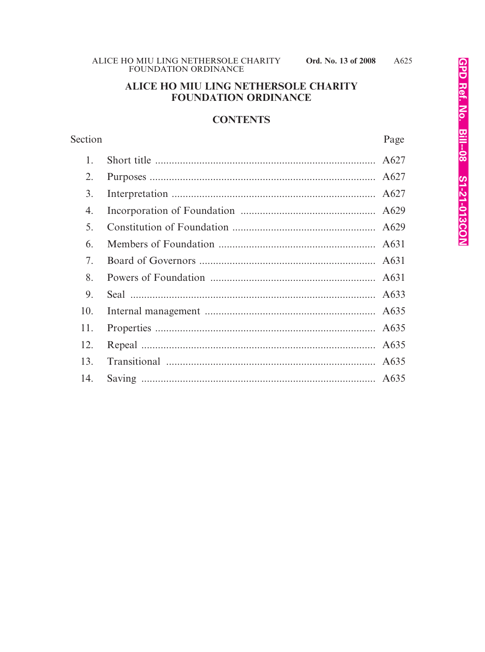## ALICE HO MIU LING NETHERSOLE CHARITY **FOUNDATION ORDINANCE**

### **CONTENTS**

| Section | Page |
|---------|------|
| 1.      | A627 |
| 2.      | A627 |
| 3.      | A627 |
| 4.      | A629 |
| 5.      | A629 |
| 6.      | A631 |
| 7.      | A631 |
| 8.      | A631 |
| 9.      | A633 |
| 10.     | A635 |
| 11.     | A635 |
| 12.     | A635 |
| 13.     | A635 |
| 14.     |      |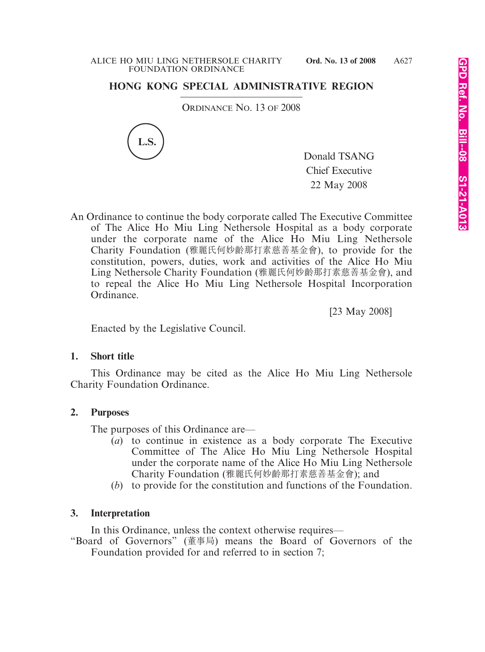# **HONG KONG SPECIAL ADMINISTRATIVE REGION**

ORDINANCE NO. 13 OF 2008



Donald TSANG Chief Executive 22 May 2008

An Ordinance to continue the body corporate called The Executive Committee of The Alice Ho Miu Ling Nethersole Hospital as a body corporate under the corporate name of the Alice Ho Miu Ling Nethersole Charity Foundation (雅麗氏何妙齡那打素慈善基金會), to provide for the constitution, powers, duties, work and activities of the Alice Ho Miu Ling Nethersole Charity Foundation (雅麗氏何妙齡那打素慈善基金會), and to repeal the Alice Ho Miu Ling Nethersole Hospital Incorporation Ordinance.

[23 May 2008]

Enacted by the Legislative Council.

### **1. Short title**

This Ordinance may be cited as the Alice Ho Miu Ling Nethersole Charity Foundation Ordinance.

## **2. Purposes**

The purposes of this Ordinance are—

- (*a*) to continue in existence as a body corporate The Executive Committee of The Alice Ho Miu Ling Nethersole Hospital under the corporate name of the Alice Ho Miu Ling Nethersole Charity Foundation (雅麗氏何妙齡那打素慈善基金會); and
- (*b*) to provide for the constitution and functions of the Foundation.

## **3. Interpretation**

In this Ordinance, unless the context otherwise requires—

"Board of Governors" (董事局) means the Board of Governors of the Foundation provided for and referred to in section 7;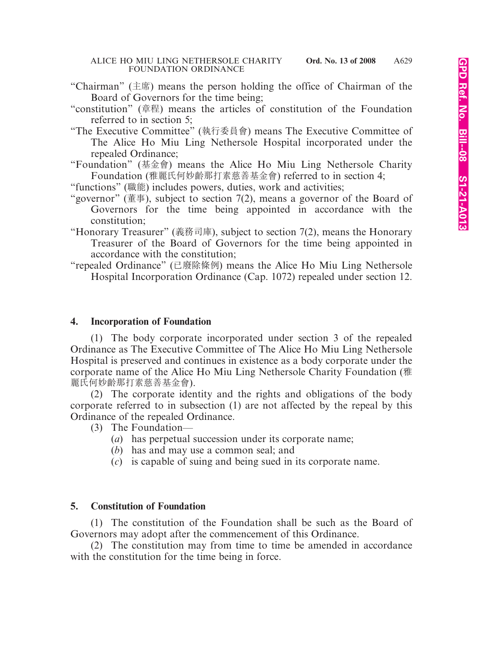- "Chairman" (主席) means the person holding the office of Chairman of the Board of Governors for the time being;
- "constitution" (章程) means the articles of constitution of the Foundation referred to in section 5;
- "The Executive Committee" (執行委員會) means The Executive Committee of The Alice Ho Miu Ling Nethersole Hospital incorporated under the repealed Ordinance;

"Foundation" (基金會) means the Alice Ho Miu Ling Nethersole Charity Foundation (雅麗氏何妙齡那打素慈善基金會) referred to in section 4;

"functions" (職能) includes powers, duties, work and activities;

- "governor" (董事), subject to section 7(2), means a governor of the Board of Governors for the time being appointed in accordance with the constitution;
- "Honorary Treasurer" (義務司庫), subject to section 7(2), means the Honorary Treasurer of the Board of Governors for the time being appointed in accordance with the constitution;
- "repealed Ordinance" (已廢除條例) means the Alice Ho Miu Ling Nethersole Hospital Incorporation Ordinance (Cap. 1072) repealed under section 12.

#### **4. Incorporation of Foundation**

(1) The body corporate incorporated under section 3 of the repealed Ordinance as The Executive Committee of The Alice Ho Miu Ling Nethersole Hospital is preserved and continues in existence as a body corporate under the corporate name of the Alice Ho Miu Ling Nethersole Charity Foundation (雅 麗氏何妙齡那打素慈善基金會).

(2) The corporate identity and the rights and obligations of the body corporate referred to in subsection (1) are not affected by the repeal by this Ordinance of the repealed Ordinance.

- (3) The Foundation—
	- (*a*) has perpetual succession under its corporate name;
	- (*b*) has and may use a common seal; and
	- (*c*) is capable of suing and being sued in its corporate name.

### **5. Constitution of Foundation**

(1) The constitution of the Foundation shall be such as the Board of Governors may adopt after the commencement of this Ordinance.

(2) The constitution may from time to time be amended in accordance with the constitution for the time being in force.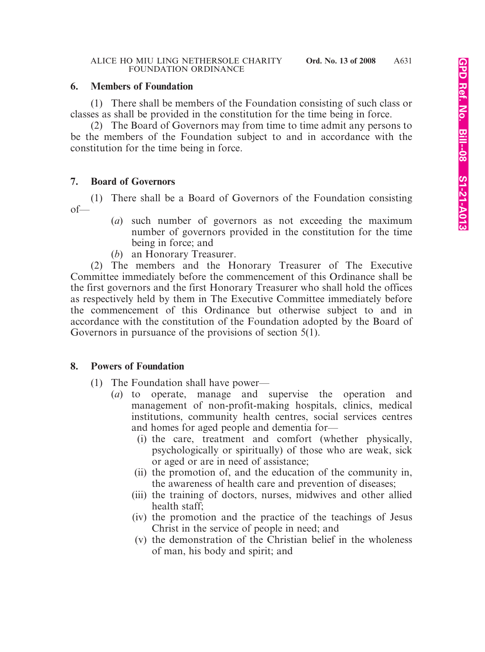### **6. Members of Foundation**

(1) There shall be members of the Foundation consisting of such class or classes as shall be provided in the constitution for the time being in force.

(2) The Board of Governors may from time to time admit any persons to be the members of the Foundation subject to and in accordance with the constitution for the time being in force.

### **7. Board of Governors**

(1) There shall be a Board of Governors of the Foundation consisting of—

- (*a*) such number of governors as not exceeding the maximum number of governors provided in the constitution for the time being in force; and
- (*b*) an Honorary Treasurer.

(2) The members and the Honorary Treasurer of The Executive Committee immediately before the commencement of this Ordinance shall be the first governors and the first Honorary Treasurer who shall hold the offices as respectively held by them in The Executive Committee immediately before the commencement of this Ordinance but otherwise subject to and in accordance with the constitution of the Foundation adopted by the Board of Governors in pursuance of the provisions of section 5(1).

### **8. Powers of Foundation**

- (1) The Foundation shall have power—
	- (*a*) to operate, manage and supervise the operation and management of non-profit-making hospitals, clinics, medical institutions, community health centres, social services centres and homes for aged people and dementia for—
		- (i) the care, treatment and comfort (whether physically, psychologically or spiritually) of those who are weak, sick or aged or are in need of assistance;
		- (ii) the promotion of, and the education of the community in, the awareness of health care and prevention of diseases;
		- (iii) the training of doctors, nurses, midwives and other allied health staff;
		- (iv) the promotion and the practice of the teachings of Jesus Christ in the service of people in need; and
		- (v) the demonstration of the Christian belief in the wholeness of man, his body and spirit; and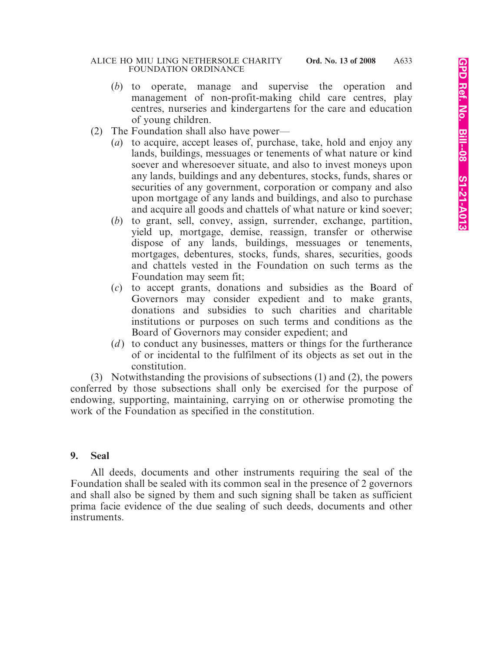- (*b*) to operate, manage and supervise the operation and management of non-profit-making child care centres, play centres, nurseries and kindergartens for the care and education of young children.
- (2) The Foundation shall also have power—
	- (*a*) to acquire, accept leases of, purchase, take, hold and enjoy any lands, buildings, messuages or tenements of what nature or kind soever and wheresoever situate, and also to invest moneys upon any lands, buildings and any debentures, stocks, funds, shares or securities of any government, corporation or company and also upon mortgage of any lands and buildings, and also to purchase and acquire all goods and chattels of what nature or kind soever;
	- (*b*) to grant, sell, convey, assign, surrender, exchange, partition, yield up, mortgage, demise, reassign, transfer or otherwise dispose of any lands, buildings, messuages or tenements, mortgages, debentures, stocks, funds, shares, securities, goods and chattels vested in the Foundation on such terms as the Foundation may seem fit;
	- (*c*) to accept grants, donations and subsidies as the Board of Governors may consider expedient and to make grants, donations and subsidies to such charities and charitable institutions or purposes on such terms and conditions as the Board of Governors may consider expedient; and
	- (*d*) to conduct any businesses, matters or things for the furtherance of or incidental to the fulfilment of its objects as set out in the constitution.

(3) Notwithstanding the provisions of subsections (1) and (2), the powers conferred by those subsections shall only be exercised for the purpose of endowing, supporting, maintaining, carrying on or otherwise promoting the work of the Foundation as specified in the constitution.

### **9. Seal**

All deeds, documents and other instruments requiring the seal of the Foundation shall be sealed with its common seal in the presence of 2 governors and shall also be signed by them and such signing shall be taken as sufficient prima facie evidence of the due sealing of such deeds, documents and other instruments.